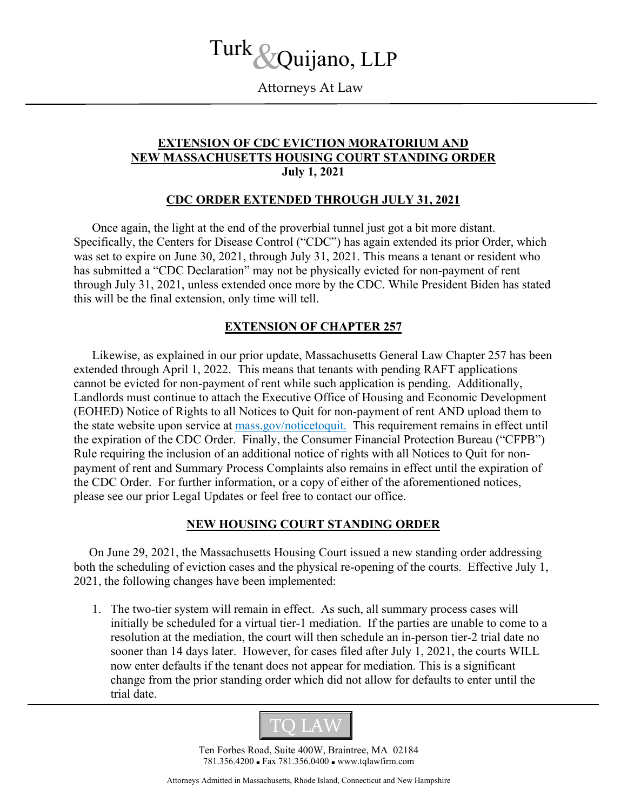# Turk &Quijano, LLP

Attorneys At Law

## **EXTENSION OF CDC EVICTION MORATORIUM AND NEW MASSACHUSETTS HOUSING COURT STANDING ORDER July 1, 2021**

#### **CDC ORDER EXTENDED THROUGH JULY 31, 2021**

Once again, the light at the end of the proverbial tunnel just got a bit more distant. Specifically, the Centers for Disease Control ("CDC") has again extended its prior Order, which was set to expire on June 30, 2021, through July 31, 2021. This means a tenant or resident who has submitted a "CDC Declaration" may not be physically evicted for non-payment of rent through July 31, 2021, unless extended once more by the CDC. While President Biden has stated this will be the final extension, only time will tell.

## **EXTENSION OF CHAPTER 257**

Likewise, as explained in our prior update, Massachusetts General Law Chapter 257 has been extended through April 1, 2022. This means that tenants with pending RAFT applications cannot be evicted for non-payment of rent while such application is pending. Additionally, Landlords must continue to attach the Executive Office of Housing and Economic Development (EOHED) Notice of Rights to all Notices to Quit for non-payment of rent AND upload them to the state website upon service at [mass.gov/noticetoquit.](https://masslandlords.us3.list-manage.com/track/click?u=622b0ea10796da66e1a08c943&id=6b84bb4480&e=5a1f68c48b) This requirement remains in effect until the expiration of the CDC Order. Finally, the Consumer Financial Protection Bureau ("CFPB") Rule requiring the inclusion of an additional notice of rights with all Notices to Quit for nonpayment of rent and Summary Process Complaints also remains in effect until the expiration of the CDC Order. For further information, or a copy of either of the aforementioned notices, please see our prior Legal Updates or feel free to contact our office.

## **NEW HOUSING COURT STANDING ORDER**

 On June 29, 2021, the Massachusetts Housing Court issued a new standing order addressing both the scheduling of eviction cases and the physical re-opening of the courts. Effective July 1, 2021, the following changes have been implemented:

1. The two-tier system will remain in effect. As such, all summary process cases will initially be scheduled for a virtual tier-1 mediation. If the parties are unable to come to a resolution at the mediation, the court will then schedule an in-person tier-2 trial date no sooner than 14 days later. However, for cases filed after July 1, 2021, the courts WILL now enter defaults if the tenant does not appear for mediation. This is a significant change from the prior standing order which did not allow for defaults to enter until the trial date.



Ten Forbes Road, Suite 400W, Braintree, MA 02184 781.356.4200 ■ Fax 781.356.0400 ■ www.tqlawfirm.com